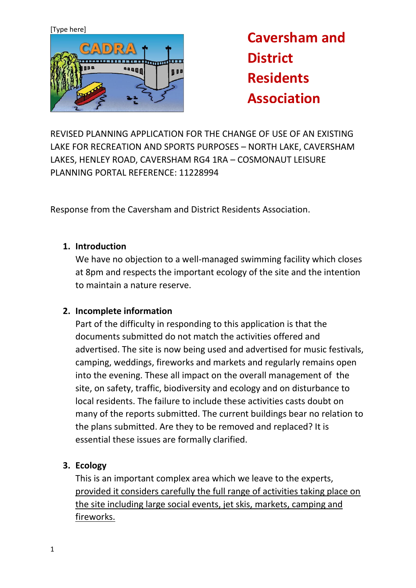

**Caversham and District Residents Association**

REVISED PLANNING APPLICATION FOR THE CHANGE OF USE OF AN EXISTING LAKE FOR RECREATION AND SPORTS PURPOSES – NORTH LAKE, CAVERSHAM LAKES, HENLEY ROAD, CAVERSHAM RG4 1RA – COSMONAUT LEISURE PLANNING PORTAL REFERENCE: 11228994

Response from the Caversham and District Residents Association.

#### **1. Introduction**

We have no objection to a well-managed swimming facility which closes at 8pm and respects the important ecology of the site and the intention to maintain a nature reserve.

#### **2. Incomplete information**

Part of the difficulty in responding to this application is that the documents submitted do not match the activities offered and advertised. The site is now being used and advertised for music festivals, camping, weddings, fireworks and markets and regularly remains open into the evening. These all impact on the overall management of the site, on safety, traffic, biodiversity and ecology and on disturbance to local residents. The failure to include these activities casts doubt on many of the reports submitted. The current buildings bear no relation to the plans submitted. Are they to be removed and replaced? It is essential these issues are formally clarified.

# **3. Ecology**

This is an important complex area which we leave to the experts, provided it considers carefully the full range of activities taking place on the site including large social events, jet skis, markets, camping and fireworks.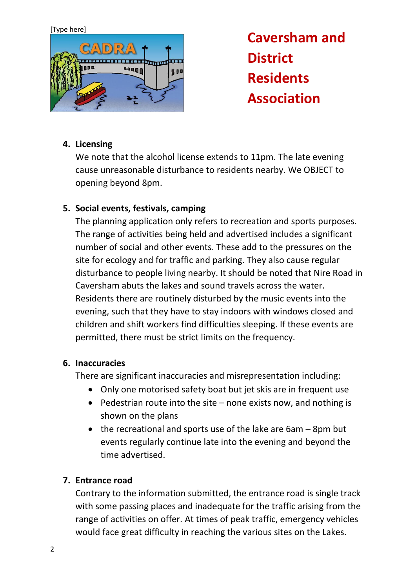

**Caversham and District Residents Association**

# **4. Licensing**

We note that the alcohol license extends to 11pm. The late evening cause unreasonable disturbance to residents nearby. We OBJECT to opening beyond 8pm.

## **5. Social events, festivals, camping**

The planning application only refers to recreation and sports purposes. The range of activities being held and advertised includes a significant number of social and other events. These add to the pressures on the site for ecology and for traffic and parking. They also cause regular disturbance to people living nearby. It should be noted that Nire Road in Caversham abuts the lakes and sound travels across the water. Residents there are routinely disturbed by the music events into the evening, such that they have to stay indoors with windows closed and children and shift workers find difficulties sleeping. If these events are permitted, there must be strict limits on the frequency.

#### **6. Inaccuracies**

There are significant inaccuracies and misrepresentation including:

- Only one motorised safety boat but jet skis are in frequent use
- Pedestrian route into the site none exists now, and nothing is shown on the plans
- the recreational and sports use of the lake are 6am 8pm but events regularly continue late into the evening and beyond the time advertised.

#### **7. Entrance road**

Contrary to the information submitted, the entrance road is single track with some passing places and inadequate for the traffic arising from the range of activities on offer. At times of peak traffic, emergency vehicles would face great difficulty in reaching the various sites on the Lakes.